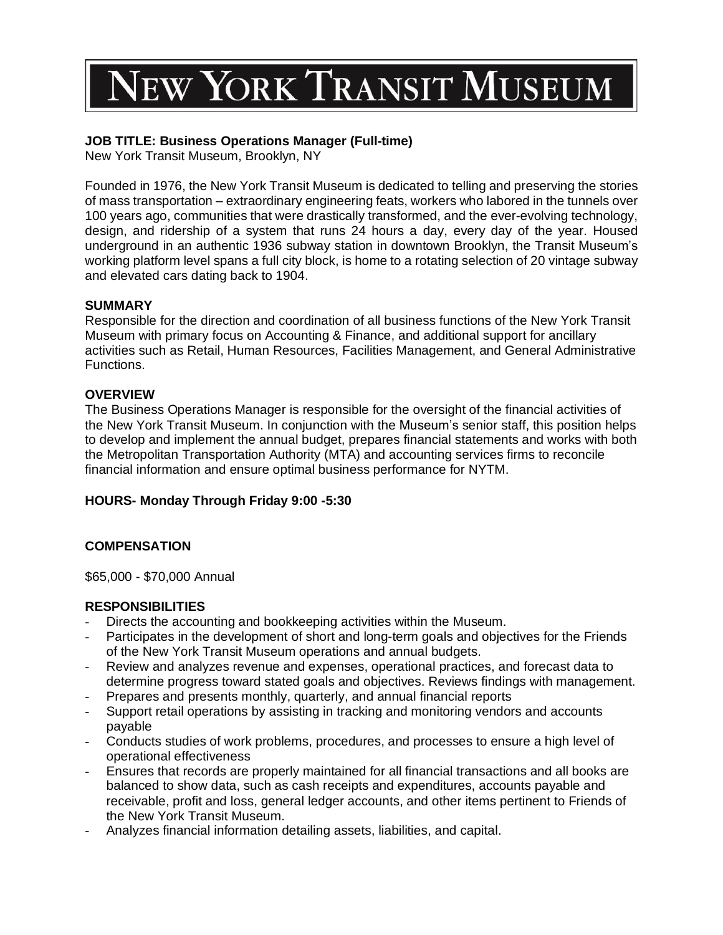# **VEW YORK TRANSIT MUSEUM**

## **JOB TITLE: Business Operations Manager (Full-time)**

New York Transit Museum, Brooklyn, NY

Founded in 1976, the New York Transit Museum is dedicated to telling and preserving the stories of mass transportation – extraordinary engineering feats, workers who labored in the tunnels over 100 years ago, communities that were drastically transformed, and the ever-evolving technology, design, and ridership of a system that runs 24 hours a day, every day of the year. Housed underground in an authentic 1936 subway station in downtown Brooklyn, the Transit Museum's working platform level spans a full city block, is home to a rotating selection of 20 vintage subway and elevated cars dating back to 1904.

### **SUMMARY**

Responsible for the direction and coordination of all business functions of the New York Transit Museum with primary focus on Accounting & Finance, and additional support for ancillary activities such as Retail, Human Resources, Facilities Management, and General Administrative Functions.

## **OVERVIEW**

The Business Operations Manager is responsible for the oversight of the financial activities of the New York Transit Museum. In conjunction with the Museum's senior staff, this position helps to develop and implement the annual budget, prepares financial statements and works with both the Metropolitan Transportation Authority (MTA) and accounting services firms to reconcile financial information and ensure optimal business performance for NYTM.

## **HOURS- Monday Through Friday 9:00 -5:30**

## **COMPENSATION**

\$65,000 - \$70,000 Annual

### **RESPONSIBILITIES**

- Directs the accounting and bookkeeping activities within the Museum.
- Participates in the development of short and long-term goals and objectives for the Friends of the New York Transit Museum operations and annual budgets.
- Review and analyzes revenue and expenses, operational practices, and forecast data to determine progress toward stated goals and objectives. Reviews findings with management.
- Prepares and presents monthly, quarterly, and annual financial reports
- Support retail operations by assisting in tracking and monitoring vendors and accounts payable
- Conducts studies of work problems, procedures, and processes to ensure a high level of operational effectiveness
- Ensures that records are properly maintained for all financial transactions and all books are balanced to show data, such as cash receipts and expenditures, accounts payable and receivable, profit and loss, general ledger accounts, and other items pertinent to Friends of the New York Transit Museum.
- Analyzes financial information detailing assets, liabilities, and capital.